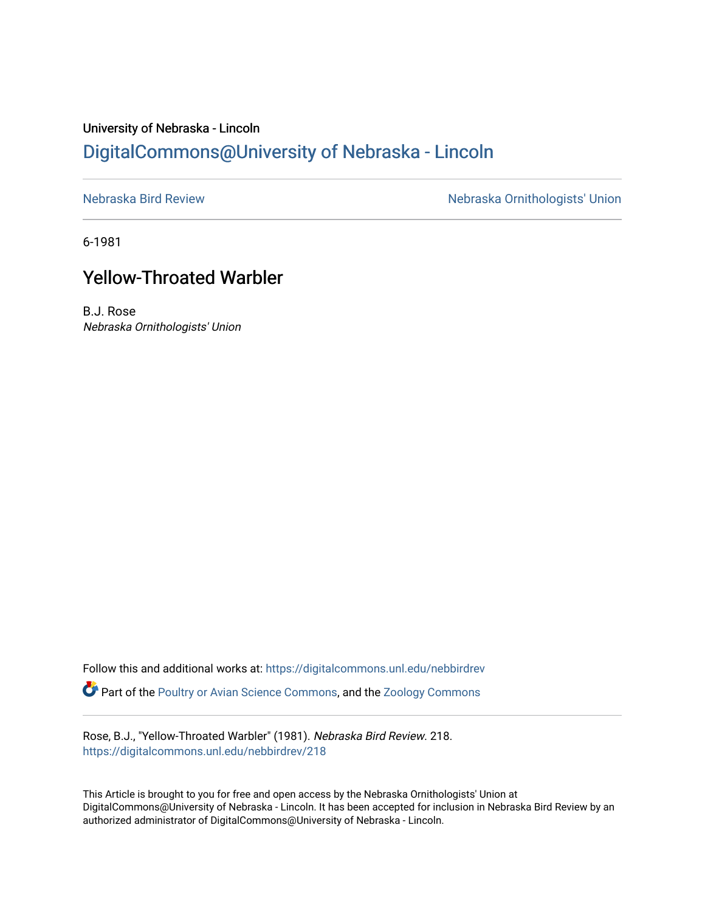## University of Nebraska - Lincoln [DigitalCommons@University of Nebraska - Lincoln](https://digitalcommons.unl.edu/)

[Nebraska Bird Review](https://digitalcommons.unl.edu/nebbirdrev) [Nebraska Ornithologists' Union](https://digitalcommons.unl.edu/nebornithologists) 

6-1981

## Yellow-Throated Warbler

B.J. Rose Nebraska Ornithologists' Union

Follow this and additional works at: [https://digitalcommons.unl.edu/nebbirdrev](https://digitalcommons.unl.edu/nebbirdrev?utm_source=digitalcommons.unl.edu%2Fnebbirdrev%2F218&utm_medium=PDF&utm_campaign=PDFCoverPages) Part of the [Poultry or Avian Science Commons](http://network.bepress.com/hgg/discipline/80?utm_source=digitalcommons.unl.edu%2Fnebbirdrev%2F218&utm_medium=PDF&utm_campaign=PDFCoverPages), and the [Zoology Commons](http://network.bepress.com/hgg/discipline/81?utm_source=digitalcommons.unl.edu%2Fnebbirdrev%2F218&utm_medium=PDF&utm_campaign=PDFCoverPages) 

Rose, B.J., "Yellow-Throated Warbler" (1981). Nebraska Bird Review. 218. [https://digitalcommons.unl.edu/nebbirdrev/218](https://digitalcommons.unl.edu/nebbirdrev/218?utm_source=digitalcommons.unl.edu%2Fnebbirdrev%2F218&utm_medium=PDF&utm_campaign=PDFCoverPages)

This Article is brought to you for free and open access by the Nebraska Ornithologists' Union at DigitalCommons@University of Nebraska - Lincoln. It has been accepted for inclusion in Nebraska Bird Review by an authorized administrator of DigitalCommons@University of Nebraska - Lincoln.